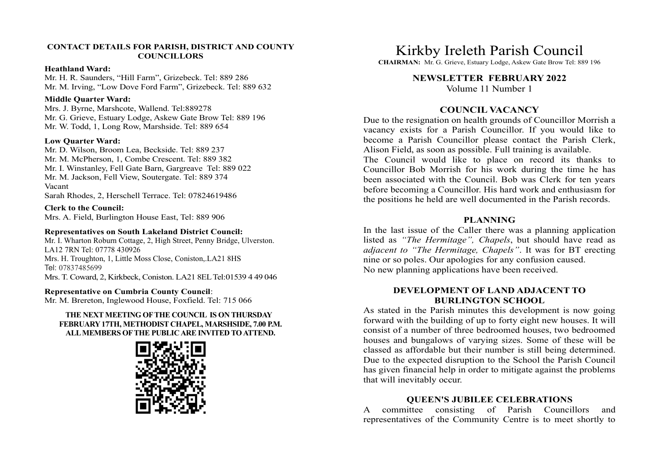#### CONTACT DETAILS FOR PARISH, DISTRICT AND COUNTY **COUNCILLORS**

#### Heathland Ward:

Mr. H. R. Saunders, "Hill Farm", Grizebeck. Tel: 889 286 Mr. M. Irving, "Low Dove Ford Farm", Grizebeck. Tel: 889 632

#### Middle Quarter Ward:

Mrs. J. Byrne, Marshcote, Wallend. Tel:889278 Mr. G. Grieve, Estuary Lodge, Askew Gate Brow Tel: 889 196 Mr. W. Todd, 1, Long Row, Marshside. Tel: 889 654

#### Low Quarter Ward:

Mr. D. Wilson, Broom Lea, Beckside. Tel: 889 237 Mr. M. McPherson, 1, Combe Crescent. Tel: 889 382 Mr. I. Winstanley, Fell Gate Barn, Gargreave Tel: 889 022 Mr. M. Jackson, Fell View, Soutergate. Tel: 889 374 Vacant

Sarah Rhodes, 2, Herschell Terrace. Tel: 07824619486

Clerk to the Council: Mrs. A. Field, Burlington House East, Tel: 889 906

## Representatives on South Lakeland District Council:

Mr. I. Wharton Roburn Cottage, 2, High Street, Penny Bridge, Ulverston. LA12 7RN Tel: 07778 430926 Mrs. H. Troughton, 1, Little Moss Close, Coniston,.LA21 8HS Tel: 07837485699 Mrs. T. Coward, 2, Kirkbeck, Coniston. LA21 8EL Tel:01539 4 49 046

### Representative on Cumbria County Council:

Mr. M. Brereton, Inglewood House, Foxfield. Tel: 715 066

## THE NEXT MEETING OF THE COUNCIL IS ON THURSDAY FEBRUARY 17TH, METHODIST CHAPEL, MARSHSIDE, 7.00 P.M. ALL MEMBERS OF THE PUBLIC ARE INVITED TO ATTEND.



Kirkby Ireleth Parish Council

CHAIRMAN: Mr. G. Grieve, Estuary Lodge, Askew Gate Brow Tel: 889 196

# NEWSLETTER FEBRUARY 2022

Volume 11 Number 1

# COUNCIL VACANCY

Due to the resignation on health grounds of Councillor Morrish a Kirkby Ireleth Parish Council<br>
CHAIRMAN: Mr. G. Grieve, Estuary Lodge, Askew Gate Brow Tel: 889 196<br>
NEWSLETTER FEBRUARY 2022<br>
Volume 11 Number 1<br>
COUNCIL VACANCY<br>
Due to the resignation on health grounds of Councillor Mor Kirkby Ireleth Parish Council<br>
CHAIRMAN: Mr. G. Grieve, Estuary Lodge, Askew Gate Brow Tel: 889 196<br>
NEWSLETTER FEBRUARY 2022<br>
Volume 11 Number 1<br>
COUNCIL VACANCY<br>
Due to the resignation on health grounds of Councillor Mor Alison Field, as soon as possible. Full training is available.

Kirkby Ireleth Parish Council<br>CHAIRMAN: M. G. Grieve, Estuary Lodge, Askew Gate Brow Tel: 889 196<br>NEWSLETTER FEBRUARY 2022<br>Volume 11 Number 1<br>Due to the resignation on health grounds of Councillor Morrish a<br>vacancy exists Councillor Bob Morrish for his work during the time he has been associated with the Council. Bob was Clerk for ten years before becoming a Councillor. His hard work and enthusiasm for the positions he held are well documented in the Parish records.

## PLANNING

In the last issue of the Caller there was a planning application **Kirkby Ireleth Parish Council**<br>CHAIRMAN: Mr. G. Grieve, Estaary Lodge, Askew Gate Brow Tel: 889 196<br>NEWSLETTER FEBRUARY 2022<br>Volume 11 Number 1<br>COUNCIL VACANCY<br>Due to the resignation on health grounds of Councillor Morri adjacent to "The Hermitage, Chapels". It was for BT erecting nine or so poles. Our apologies for any confusion caused. No new planning applications have been received.

## DEVELOPMENT OF LAND ADJACENT TO BURLINGTON SCHOOL

As stated in the Parish minutes this development is now going forward with the building of up to forty eight new houses. It will consist of a number of three bedroomed houses, two bedroomed houses and bungalows of varying sizes. Some of these will be classed as affordable but their number is still being determined. Due to the expected disruption to the School the Parish Council has given financial help in order to mitigate against the problems that will inevitably occur. **EXECTS EXECTS EXECTS ANNING**<br>
In the last issue of the Caller there was a planning application<br>
disted as "The Hermitage", Chapels, but should have read as<br>
adjacent to "The Hermitage", Chapels, U. It was for BT erecting<br>

# QUEEN'S JUBILEE CELEBRATIONS

representatives of the Community Centre is to meet shortly to